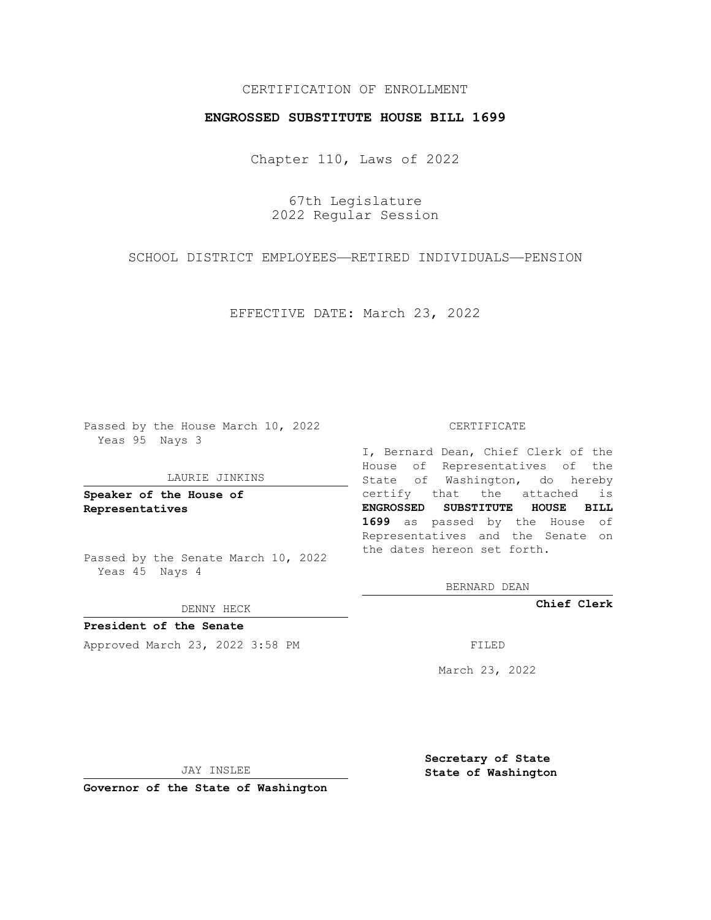# CERTIFICATION OF ENROLLMENT

## **ENGROSSED SUBSTITUTE HOUSE BILL 1699**

Chapter 110, Laws of 2022

67th Legislature 2022 Regular Session

SCHOOL DISTRICT EMPLOYEES—RETIRED INDIVIDUALS—PENSION

EFFECTIVE DATE: March 23, 2022

Passed by the House March 10, 2022 Yeas 95 Nays 3

### LAURIE JINKINS

**Speaker of the House of Representatives**

Passed by the Senate March 10, 2022 Yeas 45 Nays 4

DENNY HECK

**President of the Senate** Approved March 23, 2022 3:58 PM

#### CERTIFICATE

I, Bernard Dean, Chief Clerk of the House of Representatives of the State of Washington, do hereby certify that the attached is **ENGROSSED SUBSTITUTE HOUSE BILL 1699** as passed by the House of Representatives and the Senate on the dates hereon set forth.

BERNARD DEAN

**Chief Clerk**

March 23, 2022

JAY INSLEE

**Governor of the State of Washington**

**Secretary of State State of Washington**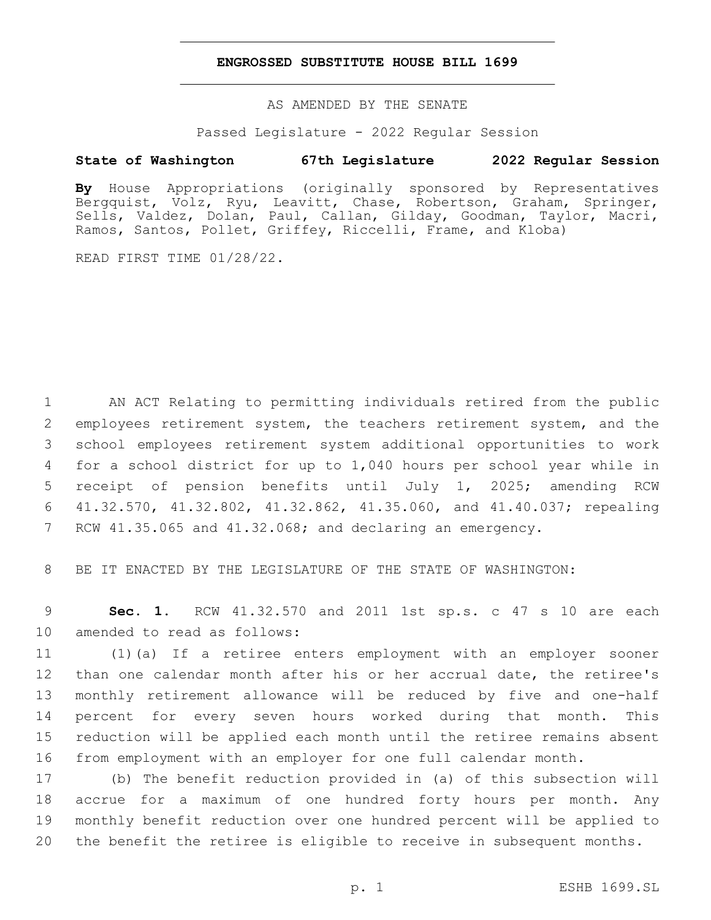### **ENGROSSED SUBSTITUTE HOUSE BILL 1699**

AS AMENDED BY THE SENATE

Passed Legislature - 2022 Regular Session

# **State of Washington 67th Legislature 2022 Regular Session**

**By** House Appropriations (originally sponsored by Representatives Bergquist, Volz, Ryu, Leavitt, Chase, Robertson, Graham, Springer, Sells, Valdez, Dolan, Paul, Callan, Gilday, Goodman, Taylor, Macri, Ramos, Santos, Pollet, Griffey, Riccelli, Frame, and Kloba)

READ FIRST TIME 01/28/22.

 AN ACT Relating to permitting individuals retired from the public employees retirement system, the teachers retirement system, and the school employees retirement system additional opportunities to work for a school district for up to 1,040 hours per school year while in receipt of pension benefits until July 1, 2025; amending RCW 41.32.570, 41.32.802, 41.32.862, 41.35.060, and 41.40.037; repealing RCW 41.35.065 and 41.32.068; and declaring an emergency.

BE IT ENACTED BY THE LEGISLATURE OF THE STATE OF WASHINGTON:

 **Sec. 1.** RCW 41.32.570 and 2011 1st sp.s. c 47 s 10 are each 10 amended to read as follows:

 (1)(a) If a retiree enters employment with an employer sooner than one calendar month after his or her accrual date, the retiree's monthly retirement allowance will be reduced by five and one-half percent for every seven hours worked during that month. This reduction will be applied each month until the retiree remains absent from employment with an employer for one full calendar month.

 (b) The benefit reduction provided in (a) of this subsection will accrue for a maximum of one hundred forty hours per month. Any monthly benefit reduction over one hundred percent will be applied to the benefit the retiree is eligible to receive in subsequent months.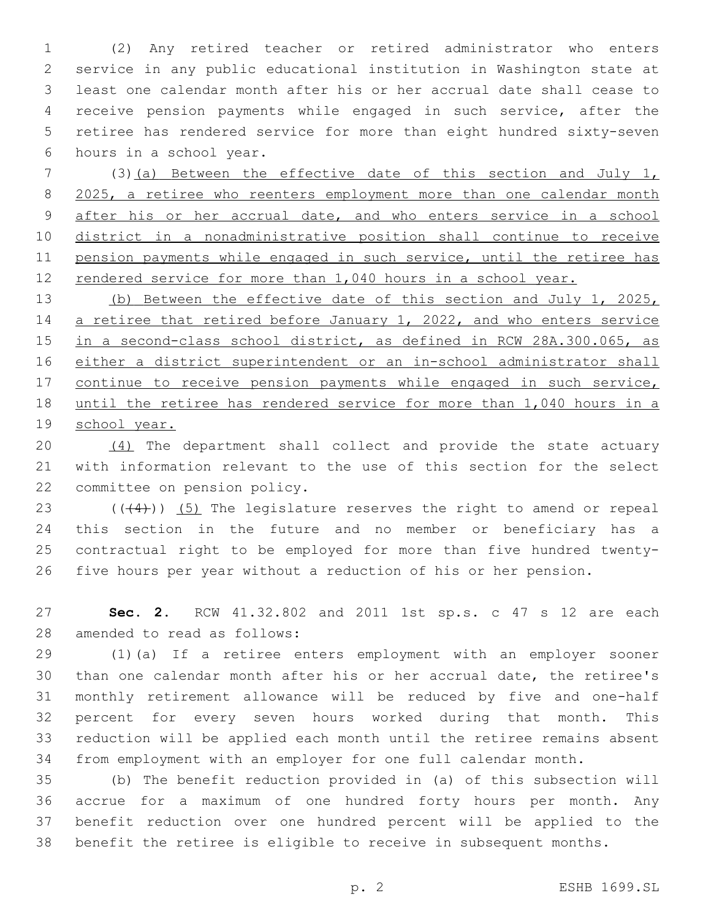(2) Any retired teacher or retired administrator who enters service in any public educational institution in Washington state at least one calendar month after his or her accrual date shall cease to receive pension payments while engaged in such service, after the retiree has rendered service for more than eight hundred sixty-seven 6 hours in a school year.

 (3)(a) Between the effective date of this section and July 1, 8 2025, a retiree who reenters employment more than one calendar month 9 after his or her accrual date, and who enters service in a school district in a nonadministrative position shall continue to receive pension payments while engaged in such service, until the retiree has 12 rendered service for more than 1,040 hours in a school year.

13 (b) Between the effective date of this section and July 1, 2025, 14 a retiree that retired before January 1, 2022, and who enters service 15 in a second-class school district, as defined in RCW 28A.300.065, as either a district superintendent or an in-school administrator shall 17 continue to receive pension payments while engaged in such service, until the retiree has rendered service for more than 1,040 hours in a 19 school year.

 (4) The department shall collect and provide the state actuary with information relevant to the use of this section for the select 22 committee on pension policy.

 $((44))$   $(5)$  The legislature reserves the right to amend or repeal this section in the future and no member or beneficiary has a contractual right to be employed for more than five hundred twenty-five hours per year without a reduction of his or her pension.

 **Sec. 2.** RCW 41.32.802 and 2011 1st sp.s. c 47 s 12 are each 28 amended to read as follows:

 (1)(a) If a retiree enters employment with an employer sooner than one calendar month after his or her accrual date, the retiree's monthly retirement allowance will be reduced by five and one-half percent for every seven hours worked during that month. This reduction will be applied each month until the retiree remains absent from employment with an employer for one full calendar month.

 (b) The benefit reduction provided in (a) of this subsection will accrue for a maximum of one hundred forty hours per month. Any benefit reduction over one hundred percent will be applied to the benefit the retiree is eligible to receive in subsequent months.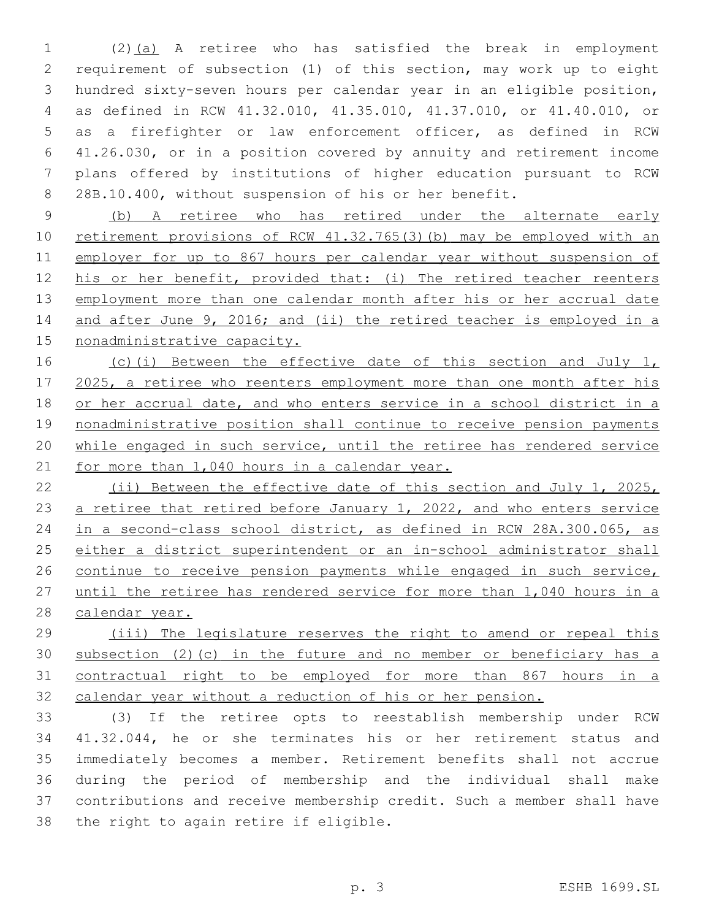(2)(a) A retiree who has satisfied the break in employment requirement of subsection (1) of this section, may work up to eight hundred sixty-seven hours per calendar year in an eligible position, as defined in RCW 41.32.010, 41.35.010, 41.37.010, or 41.40.010, or as a firefighter or law enforcement officer, as defined in RCW 41.26.030, or in a position covered by annuity and retirement income plans offered by institutions of higher education pursuant to RCW 28B.10.400, without suspension of his or her benefit.

 (b) A retiree who has retired under the alternate early retirement provisions of RCW 41.32.765(3)(b) may be employed with an employer for up to 867 hours per calendar year without suspension of his or her benefit, provided that: (i) The retired teacher reenters employment more than one calendar month after his or her accrual date 14 and after June 9, 2016; and (ii) the retired teacher is employed in a nonadministrative capacity.

16 (c)(i) Between the effective date of this section and July 1, 17 2025, a retiree who reenters employment more than one month after his or her accrual date, and who enters service in a school district in a nonadministrative position shall continue to receive pension payments while engaged in such service, until the retiree has rendered service 21 for more than 1,040 hours in a calendar year.

 (ii) Between the effective date of this section and July 1, 2025, 23 a retiree that retired before January 1, 2022, and who enters service in a second-class school district, as defined in RCW 28A.300.065, as either a district superintendent or an in-school administrator shall continue to receive pension payments while engaged in such service, until the retiree has rendered service for more than 1,040 hours in a 28 calendar year.

 (iii) The legislature reserves the right to amend or repeal this subsection (2)(c) in the future and no member or beneficiary has a contractual right to be employed for more than 867 hours in a calendar year without a reduction of his or her pension.

 (3) If the retiree opts to reestablish membership under RCW 41.32.044, he or she terminates his or her retirement status and immediately becomes a member. Retirement benefits shall not accrue during the period of membership and the individual shall make contributions and receive membership credit. Such a member shall have 38 the right to again retire if eligible.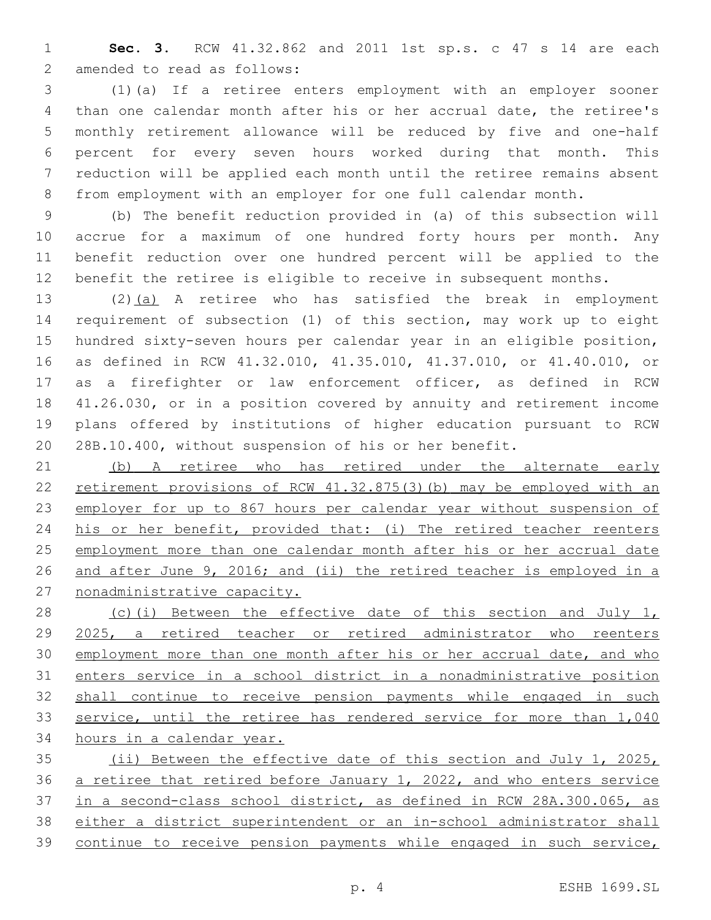**Sec. 3.** RCW 41.32.862 and 2011 1st sp.s. c 47 s 14 are each 2 amended to read as follows:

 (1)(a) If a retiree enters employment with an employer sooner than one calendar month after his or her accrual date, the retiree's monthly retirement allowance will be reduced by five and one-half percent for every seven hours worked during that month. This reduction will be applied each month until the retiree remains absent from employment with an employer for one full calendar month.

 (b) The benefit reduction provided in (a) of this subsection will accrue for a maximum of one hundred forty hours per month. Any benefit reduction over one hundred percent will be applied to the benefit the retiree is eligible to receive in subsequent months.

 (2)(a) A retiree who has satisfied the break in employment requirement of subsection (1) of this section, may work up to eight hundred sixty-seven hours per calendar year in an eligible position, as defined in RCW 41.32.010, 41.35.010, 41.37.010, or 41.40.010, or as a firefighter or law enforcement officer, as defined in RCW 41.26.030, or in a position covered by annuity and retirement income plans offered by institutions of higher education pursuant to RCW 28B.10.400, without suspension of his or her benefit.

 (b) A retiree who has retired under the alternate early retirement provisions of RCW 41.32.875(3)(b) may be employed with an employer for up to 867 hours per calendar year without suspension of his or her benefit, provided that: (i) The retired teacher reenters employment more than one calendar month after his or her accrual date and after June 9, 2016; and (ii) the retired teacher is employed in a nonadministrative capacity.

28 (c)(i) Between the effective date of this section and July 1, 2025, a retired teacher or retired administrator who reenters employment more than one month after his or her accrual date, and who enters service in a school district in a nonadministrative position shall continue to receive pension payments while engaged in such service, until the retiree has rendered service for more than 1,040 hours in a calendar year.

 (ii) Between the effective date of this section and July 1, 2025, a retiree that retired before January 1, 2022, and who enters service in a second-class school district, as defined in RCW 28A.300.065, as either a district superintendent or an in-school administrator shall continue to receive pension payments while engaged in such service,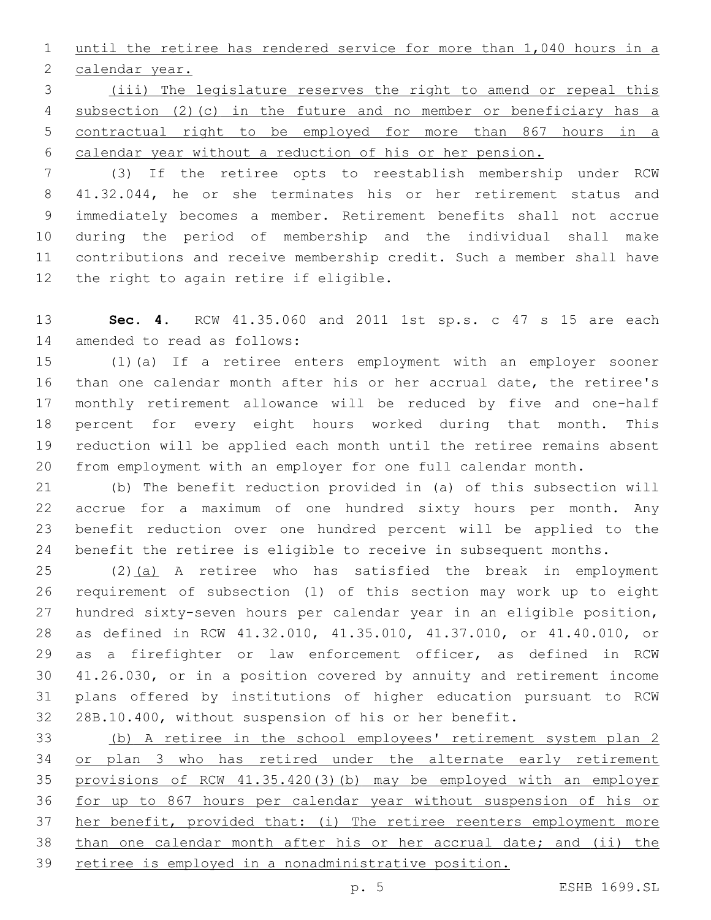until the retiree has rendered service for more than 1,040 hours in a 2 calendar year.

 (iii) The legislature reserves the right to amend or repeal this subsection (2)(c) in the future and no member or beneficiary has a contractual right to be employed for more than 867 hours in a calendar year without a reduction of his or her pension.

 (3) If the retiree opts to reestablish membership under RCW 41.32.044, he or she terminates his or her retirement status and immediately becomes a member. Retirement benefits shall not accrue during the period of membership and the individual shall make contributions and receive membership credit. Such a member shall have 12 the right to again retire if eligible.

 **Sec. 4.** RCW 41.35.060 and 2011 1st sp.s. c 47 s 15 are each 14 amended to read as follows:

 (1)(a) If a retiree enters employment with an employer sooner than one calendar month after his or her accrual date, the retiree's monthly retirement allowance will be reduced by five and one-half percent for every eight hours worked during that month. This reduction will be applied each month until the retiree remains absent from employment with an employer for one full calendar month.

 (b) The benefit reduction provided in (a) of this subsection will accrue for a maximum of one hundred sixty hours per month. Any benefit reduction over one hundred percent will be applied to the benefit the retiree is eligible to receive in subsequent months.

25 (2)(a) A retiree who has satisfied the break in employment requirement of subsection (1) of this section may work up to eight hundred sixty-seven hours per calendar year in an eligible position, as defined in RCW 41.32.010, 41.35.010, 41.37.010, or 41.40.010, or as a firefighter or law enforcement officer, as defined in RCW 41.26.030, or in a position covered by annuity and retirement income plans offered by institutions of higher education pursuant to RCW 28B.10.400, without suspension of his or her benefit.

 (b) A retiree in the school employees' retirement system plan 2 or plan 3 who has retired under the alternate early retirement provisions of RCW 41.35.420(3)(b) may be employed with an employer for up to 867 hours per calendar year without suspension of his or her benefit, provided that: (i) The retiree reenters employment more than one calendar month after his or her accrual date; and (ii) the retiree is employed in a nonadministrative position.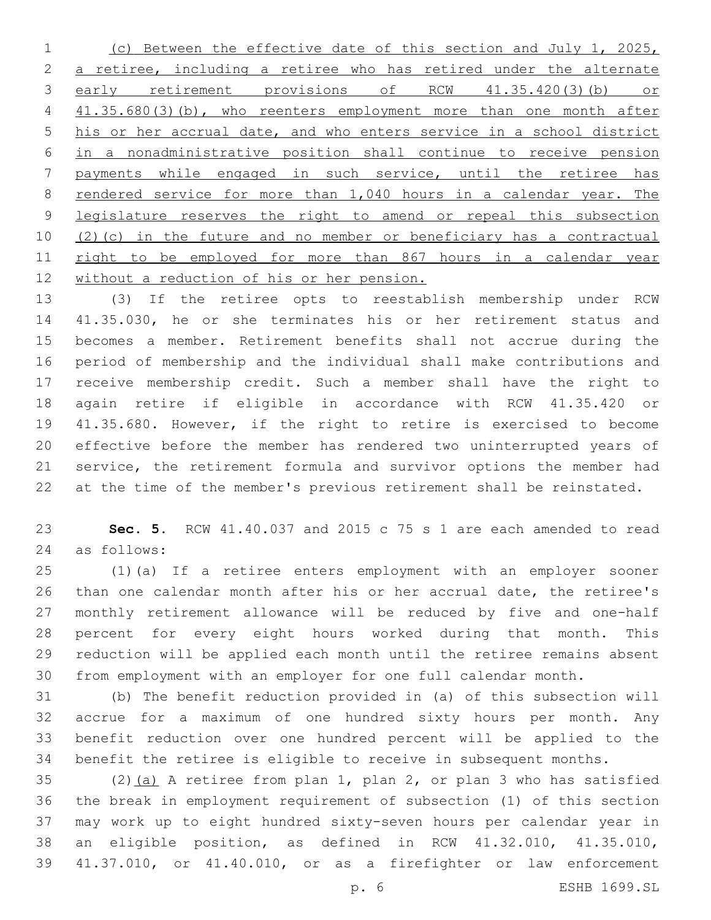(c) Between the effective date of this section and July 1, 2025, a retiree, including a retiree who has retired under the alternate early retirement provisions of RCW 41.35.420(3)(b) or 4 41.35.680(3)(b), who reenters employment more than one month after his or her accrual date, and who enters service in a school district in a nonadministrative position shall continue to receive pension payments while engaged in such service, until the retiree has 8 rendered service for more than 1,040 hours in a calendar year. The legislature reserves the right to amend or repeal this subsection (2)(c) in the future and no member or beneficiary has a contractual 11 right to be employed for more than 867 hours in a calendar year without a reduction of his or her pension.

 (3) If the retiree opts to reestablish membership under RCW 41.35.030, he or she terminates his or her retirement status and becomes a member. Retirement benefits shall not accrue during the period of membership and the individual shall make contributions and receive membership credit. Such a member shall have the right to again retire if eligible in accordance with RCW 41.35.420 or 41.35.680. However, if the right to retire is exercised to become effective before the member has rendered two uninterrupted years of service, the retirement formula and survivor options the member had at the time of the member's previous retirement shall be reinstated.

 **Sec. 5.** RCW 41.40.037 and 2015 c 75 s 1 are each amended to read as follows:24

 (1)(a) If a retiree enters employment with an employer sooner than one calendar month after his or her accrual date, the retiree's monthly retirement allowance will be reduced by five and one-half percent for every eight hours worked during that month. This reduction will be applied each month until the retiree remains absent from employment with an employer for one full calendar month.

 (b) The benefit reduction provided in (a) of this subsection will accrue for a maximum of one hundred sixty hours per month. Any benefit reduction over one hundred percent will be applied to the benefit the retiree is eligible to receive in subsequent months.

35 (2) $(a)$  A retiree from plan 1, plan 2, or plan 3 who has satisfied the break in employment requirement of subsection (1) of this section may work up to eight hundred sixty-seven hours per calendar year in an eligible position, as defined in RCW 41.32.010, 41.35.010, 41.37.010, or 41.40.010, or as a firefighter or law enforcement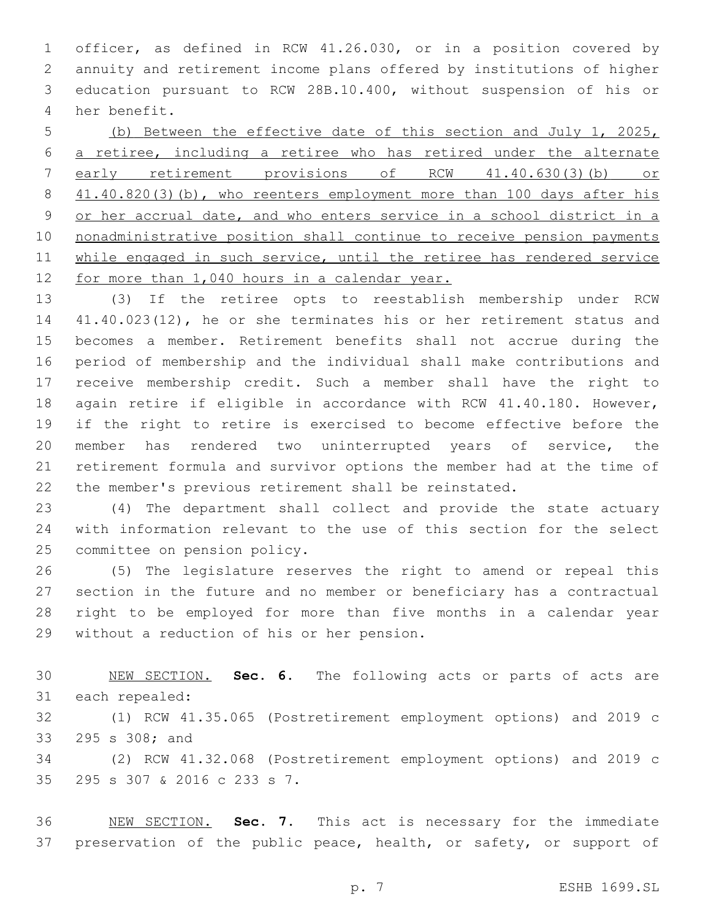officer, as defined in RCW 41.26.030, or in a position covered by annuity and retirement income plans offered by institutions of higher education pursuant to RCW 28B.10.400, without suspension of his or 4 her benefit.

 (b) Between the effective date of this section and July 1, 2025, a retiree, including a retiree who has retired under the alternate early retirement provisions of RCW 41.40.630(3)(b) or 8 41.40.820(3)(b), who reenters employment more than 100 days after his or her accrual date, and who enters service in a school district in a nonadministrative position shall continue to receive pension payments 11 while engaged in such service, until the retiree has rendered service for more than 1,040 hours in a calendar year.

 (3) If the retiree opts to reestablish membership under RCW 41.40.023(12), he or she terminates his or her retirement status and becomes a member. Retirement benefits shall not accrue during the period of membership and the individual shall make contributions and receive membership credit. Such a member shall have the right to again retire if eligible in accordance with RCW 41.40.180. However, if the right to retire is exercised to become effective before the member has rendered two uninterrupted years of service, the retirement formula and survivor options the member had at the time of the member's previous retirement shall be reinstated.

 (4) The department shall collect and provide the state actuary with information relevant to the use of this section for the select 25 committee on pension policy.

 (5) The legislature reserves the right to amend or repeal this section in the future and no member or beneficiary has a contractual right to be employed for more than five months in a calendar year 29 without a reduction of his or her pension.

 NEW SECTION. **Sec. 6.** The following acts or parts of acts are each repealed:

 (1) RCW 41.35.065 (Postretirement employment options) and 2019 c 33 295 s 308; and

 (2) RCW 41.32.068 (Postretirement employment options) and 2019 c 295 s 307 & 2016 c 233 s 7.35

 NEW SECTION. **Sec. 7.** This act is necessary for the immediate 37 preservation of the public peace, health, or safety, or support of